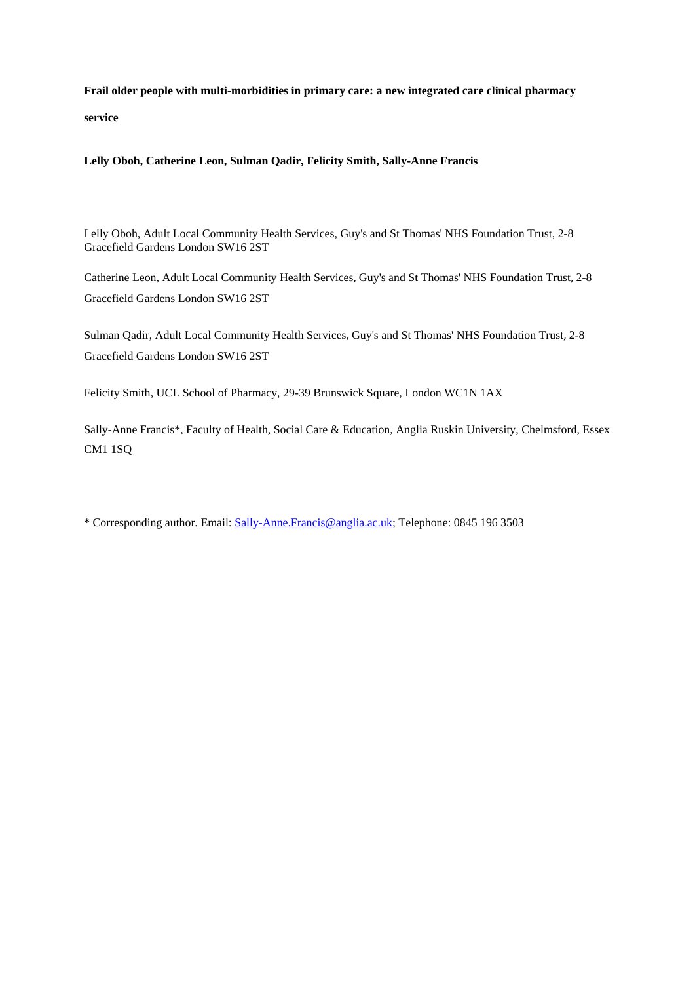**Frail older people with multi-morbidities in primary care: a new integrated care clinical pharmacy service**

**Lelly Oboh, Catherine Leon, Sulman Qadir, Felicity Smith, Sally-Anne Francis**

Lelly Oboh, Adult Local Community Health Services, Guy's and St Thomas' NHS Foundation Trust, 2-8 Gracefield Gardens London SW16 2ST

Catherine Leon, Adult Local Community Health Services, Guy's and St Thomas' NHS Foundation Trust, 2-8 Gracefield Gardens London SW16 2ST

Sulman Qadir, Adult Local Community Health Services, Guy's and St Thomas' NHS Foundation Trust, 2-8 Gracefield Gardens London SW16 2ST

Felicity Smith, UCL School of Pharmacy, 29-39 Brunswick Square, London WC1N 1AX

Sally-Anne Francis\*, Faculty of Health, Social Care & Education, Anglia Ruskin University, Chelmsford, Essex CM1 1SQ

\* Corresponding author. Email: [Sally-Anne.Francis@anglia.ac.uk;](mailto:Sally-Anne.Francis@anglia.ac.uk) Telephone: 0845 196 3503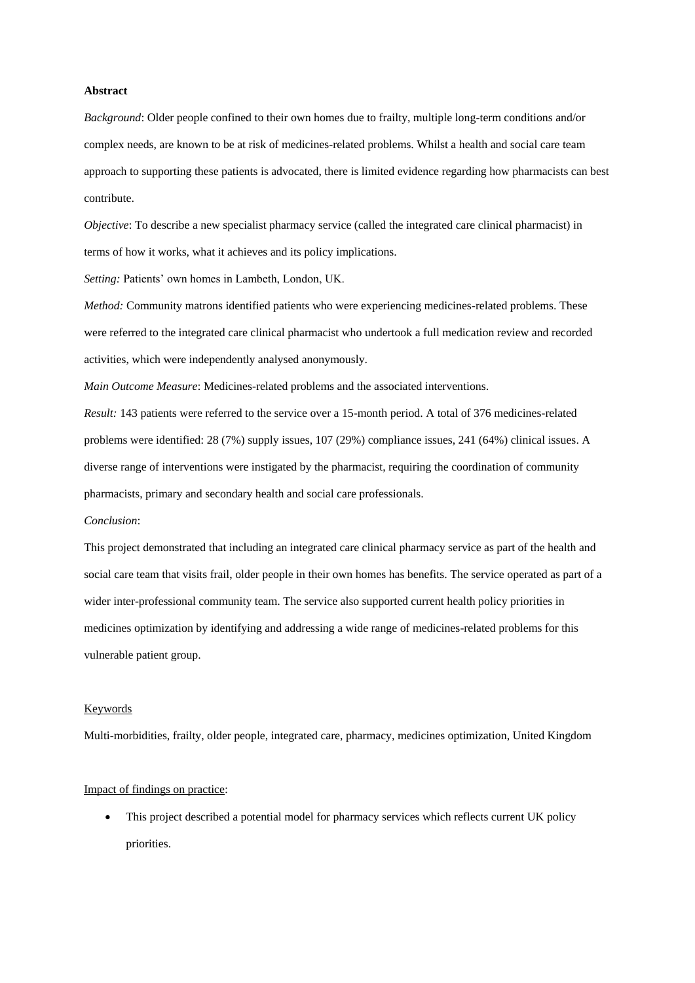## **Abstract**

*Background*: Older people confined to their own homes due to frailty, multiple long-term conditions and/or complex needs, are known to be at risk of medicines-related problems. Whilst a health and social care team approach to supporting these patients is advocated, there is limited evidence regarding how pharmacists can best contribute.

*Objective*: To describe a new specialist pharmacy service (called the integrated care clinical pharmacist) in terms of how it works, what it achieves and its policy implications.

*Setting:* Patients' own homes in Lambeth, London, UK.

*Method:* Community matrons identified patients who were experiencing medicines-related problems. These were referred to the integrated care clinical pharmacist who undertook a full medication review and recorded activities, which were independently analysed anonymously.

*Main Outcome Measure*: Medicines-related problems and the associated interventions.

*Result:* 143 patients were referred to the service over a 15-month period. A total of 376 medicines-related problems were identified: 28 (7%) supply issues, 107 (29%) compliance issues, 241 (64%) clinical issues. A diverse range of interventions were instigated by the pharmacist, requiring the coordination of community pharmacists, primary and secondary health and social care professionals.

#### *Conclusion*:

This project demonstrated that including an integrated care clinical pharmacy service as part of the health and social care team that visits frail, older people in their own homes has benefits. The service operated as part of a wider inter-professional community team. The service also supported current health policy priorities in medicines optimization by identifying and addressing a wide range of medicines-related problems for this vulnerable patient group.

## Keywords

Multi-morbidities, frailty, older people, integrated care, pharmacy, medicines optimization, United Kingdom

## Impact of findings on practice:

 This project described a potential model for pharmacy services which reflects current UK policy priorities.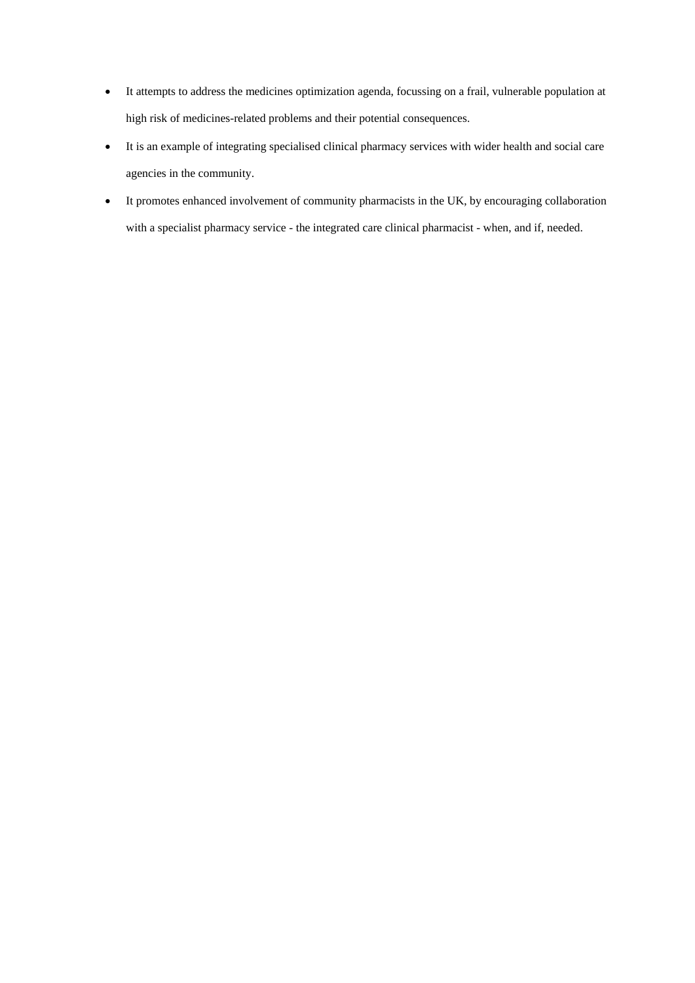- It attempts to address the medicines optimization agenda, focussing on a frail, vulnerable population at high risk of medicines-related problems and their potential consequences.
- It is an example of integrating specialised clinical pharmacy services with wider health and social care agencies in the community.
- It promotes enhanced involvement of community pharmacists in the UK, by encouraging collaboration with a specialist pharmacy service - the integrated care clinical pharmacist - when, and if, needed.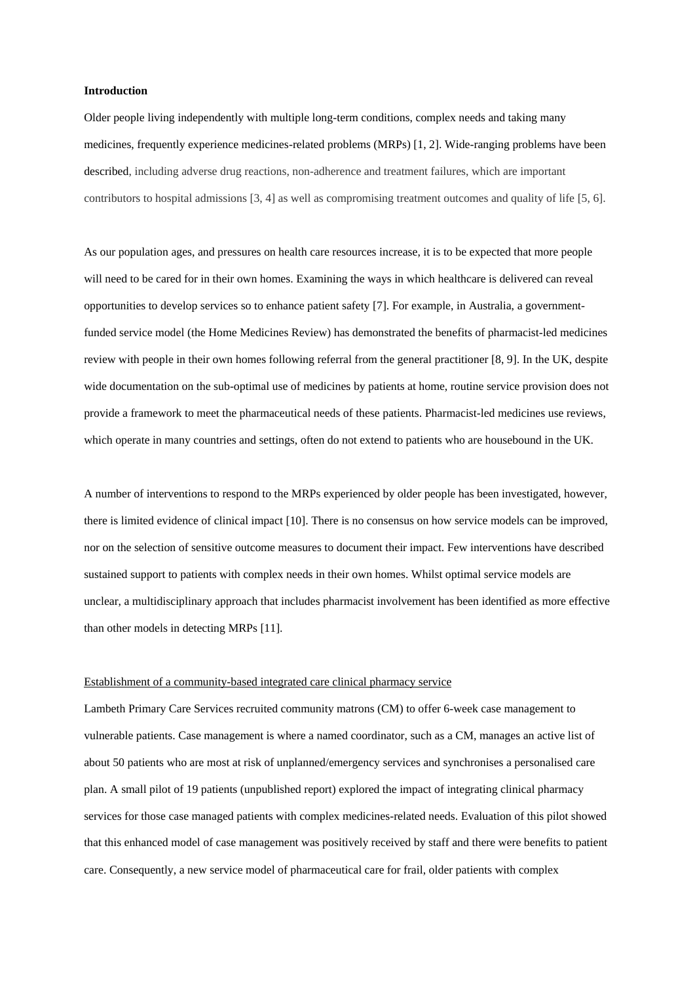#### **Introduction**

Older people living independently with multiple long-term conditions, complex needs and taking many medicines, frequently experience medicines-related problems (MRPs) [1, 2]. Wide-ranging problems have been described, including adverse drug reactions, non-adherence and treatment failures, which are important contributors to hospital admissions [3, 4] as well as compromising treatment outcomes and quality of life [5, 6].

As our population ages, and pressures on health care resources increase, it is to be expected that more people will need to be cared for in their own homes. Examining the ways in which healthcare is delivered can reveal opportunities to develop services so to enhance patient safety [7]. For example, in Australia, a governmentfunded service model (the Home Medicines Review) has demonstrated the benefits of pharmacist-led medicines review with people in their own homes following referral from the general practitioner [8, 9]. In the UK, despite wide documentation on the sub-optimal use of medicines by patients at home, routine service provision does not provide a framework to meet the pharmaceutical needs of these patients. Pharmacist-led medicines use reviews, which operate in many countries and settings, often do not extend to patients who are housebound in the UK.

A number of interventions to respond to the MRPs experienced by older people has been investigated, however, there is limited evidence of clinical impact [10]. There is no consensus on how service models can be improved, nor on the selection of sensitive outcome measures to document their impact. Few interventions have described sustained support to patients with complex needs in their own homes. Whilst optimal service models are unclear, a multidisciplinary approach that includes pharmacist involvement has been identified as more effective than other models in detecting MRPs [11].

# Establishment of a community-based integrated care clinical pharmacy service

Lambeth Primary Care Services recruited community matrons (CM) to offer 6-week case management to vulnerable patients. Case management is where a named coordinator, such as a CM, manages an active list of about 50 patients who are most at risk of unplanned/emergency services and synchronises a personalised care plan. A small pilot of 19 patients (unpublished report) explored the impact of integrating clinical pharmacy services for those case managed patients with complex medicines-related needs. Evaluation of this pilot showed that this enhanced model of case management was positively received by staff and there were benefits to patient care. Consequently, a new service model of pharmaceutical care for frail, older patients with complex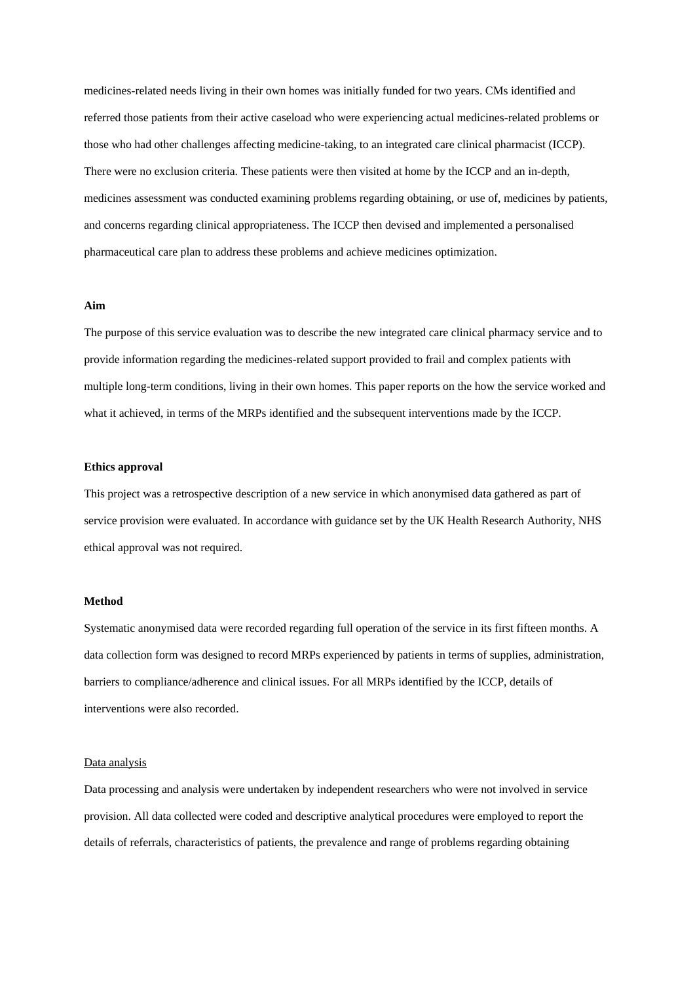medicines-related needs living in their own homes was initially funded for two years. CMs identified and referred those patients from their active caseload who were experiencing actual medicines-related problems or those who had other challenges affecting medicine-taking, to an integrated care clinical pharmacist (ICCP). There were no exclusion criteria. These patients were then visited at home by the ICCP and an in-depth, medicines assessment was conducted examining problems regarding obtaining, or use of, medicines by patients, and concerns regarding clinical appropriateness. The ICCP then devised and implemented a personalised pharmaceutical care plan to address these problems and achieve medicines optimization.

# **Aim**

The purpose of this service evaluation was to describe the new integrated care clinical pharmacy service and to provide information regarding the medicines-related support provided to frail and complex patients with multiple long-term conditions, living in their own homes. This paper reports on the how the service worked and what it achieved, in terms of the MRPs identified and the subsequent interventions made by the ICCP.

# **Ethics approval**

This project was a retrospective description of a new service in which anonymised data gathered as part of service provision were evaluated. In accordance with guidance set by the UK Health Research Authority, NHS ethical approval was not required.

## **Method**

Systematic anonymised data were recorded regarding full operation of the service in its first fifteen months. A data collection form was designed to record MRPs experienced by patients in terms of supplies, administration, barriers to compliance/adherence and clinical issues. For all MRPs identified by the ICCP, details of interventions were also recorded.

#### Data analysis

Data processing and analysis were undertaken by independent researchers who were not involved in service provision. All data collected were coded and descriptive analytical procedures were employed to report the details of referrals, characteristics of patients, the prevalence and range of problems regarding obtaining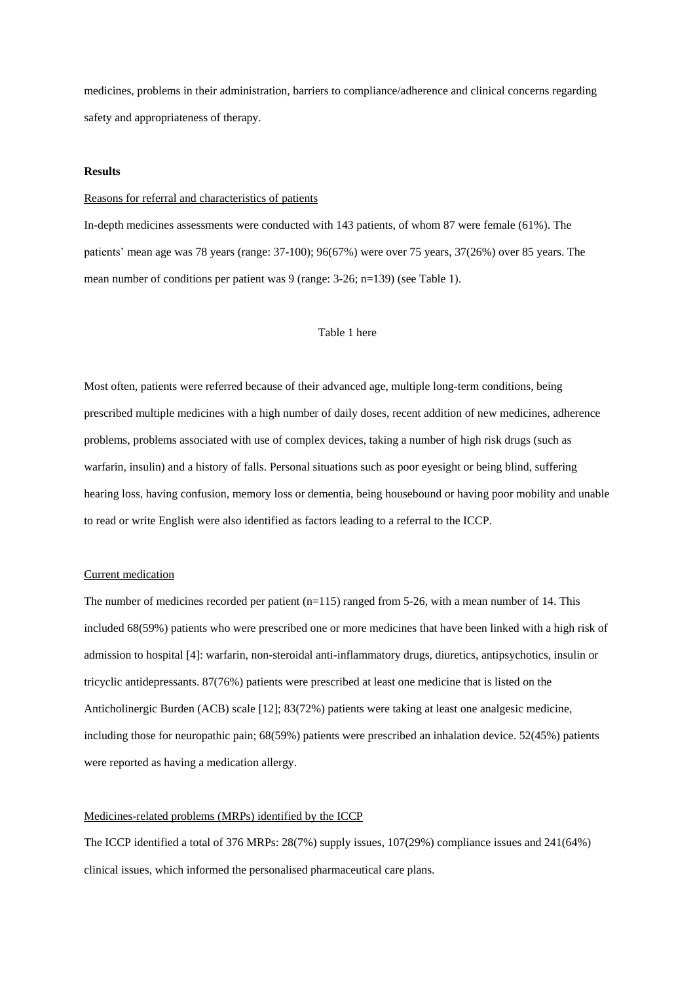medicines, problems in their administration, barriers to compliance/adherence and clinical concerns regarding safety and appropriateness of therapy.

## **Results**

#### Reasons for referral and characteristics of patients

In-depth medicines assessments were conducted with 143 patients, of whom 87 were female (61%). The patients' mean age was 78 years (range: 37-100); 96(67%) were over 75 years, 37(26%) over 85 years. The mean number of conditions per patient was 9 (range: 3-26; n=139) (see Table 1).

# Table 1 here

Most often, patients were referred because of their advanced age, multiple long-term conditions, being prescribed multiple medicines with a high number of daily doses, recent addition of new medicines, adherence problems, problems associated with use of complex devices, taking a number of high risk drugs (such as warfarin, insulin) and a history of falls. Personal situations such as poor eyesight or being blind, suffering hearing loss, having confusion, memory loss or dementia, being housebound or having poor mobility and unable to read or write English were also identified as factors leading to a referral to the ICCP.

### Current medication

The number of medicines recorded per patient  $(n=115)$  ranged from 5-26, with a mean number of 14. This included 68(59%) patients who were prescribed one or more medicines that have been linked with a high risk of admission to hospital [4]: warfarin, non-steroidal anti-inflammatory drugs, diuretics, antipsychotics, insulin or tricyclic antidepressants. 87(76%) patients were prescribed at least one medicine that is listed on the Anticholinergic Burden (ACB) scale [12]; 83(72%) patients were taking at least one analgesic medicine, including those for neuropathic pain; 68(59%) patients were prescribed an inhalation device. 52(45%) patients were reported as having a medication allergy.

# Medicines-related problems (MRPs) identified by the ICCP

The ICCP identified a total of 376 MRPs: 28(7%) supply issues, 107(29%) compliance issues and 241(64%) clinical issues, which informed the personalised pharmaceutical care plans.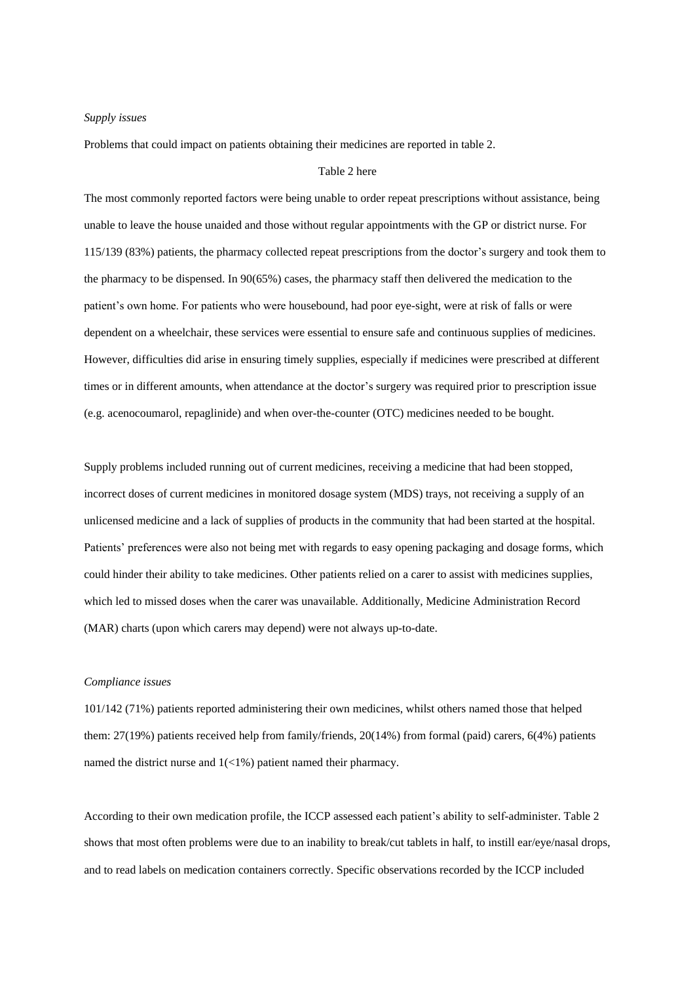#### *Supply issues*

Problems that could impact on patients obtaining their medicines are reported in table 2.

# Table 2 here

The most commonly reported factors were being unable to order repeat prescriptions without assistance, being unable to leave the house unaided and those without regular appointments with the GP or district nurse. For 115/139 (83%) patients, the pharmacy collected repeat prescriptions from the doctor's surgery and took them to the pharmacy to be dispensed. In 90(65%) cases, the pharmacy staff then delivered the medication to the patient's own home. For patients who were housebound, had poor eye-sight, were at risk of falls or were dependent on a wheelchair, these services were essential to ensure safe and continuous supplies of medicines. However, difficulties did arise in ensuring timely supplies, especially if medicines were prescribed at different times or in different amounts, when attendance at the doctor's surgery was required prior to prescription issue (e.g. acenocoumarol, repaglinide) and when over-the-counter (OTC) medicines needed to be bought.

Supply problems included running out of current medicines, receiving a medicine that had been stopped, incorrect doses of current medicines in monitored dosage system (MDS) trays, not receiving a supply of an unlicensed medicine and a lack of supplies of products in the community that had been started at the hospital. Patients' preferences were also not being met with regards to easy opening packaging and dosage forms, which could hinder their ability to take medicines. Other patients relied on a carer to assist with medicines supplies, which led to missed doses when the carer was unavailable. Additionally, Medicine Administration Record (MAR) charts (upon which carers may depend) were not always up-to-date.

# *Compliance issues*

101/142 (71%) patients reported administering their own medicines, whilst others named those that helped them: 27(19%) patients received help from family/friends, 20(14%) from formal (paid) carers, 6(4%) patients named the district nurse and 1(<1%) patient named their pharmacy.

According to their own medication profile, the ICCP assessed each patient's ability to self-administer. Table 2 shows that most often problems were due to an inability to break/cut tablets in half, to instill ear/eye/nasal drops, and to read labels on medication containers correctly. Specific observations recorded by the ICCP included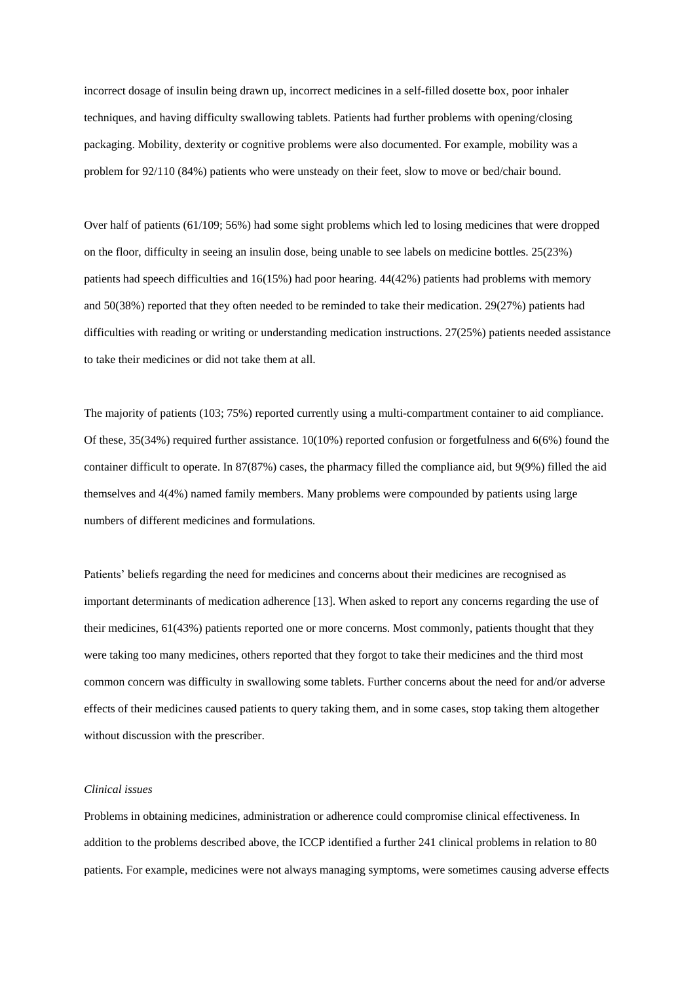incorrect dosage of insulin being drawn up, incorrect medicines in a self-filled dosette box, poor inhaler techniques, and having difficulty swallowing tablets. Patients had further problems with opening/closing packaging. Mobility, dexterity or cognitive problems were also documented. For example, mobility was a problem for 92/110 (84%) patients who were unsteady on their feet, slow to move or bed/chair bound.

Over half of patients (61/109; 56%) had some sight problems which led to losing medicines that were dropped on the floor, difficulty in seeing an insulin dose, being unable to see labels on medicine bottles. 25(23%) patients had speech difficulties and 16(15%) had poor hearing. 44(42%) patients had problems with memory and 50(38%) reported that they often needed to be reminded to take their medication. 29(27%) patients had difficulties with reading or writing or understanding medication instructions. 27(25%) patients needed assistance to take their medicines or did not take them at all.

The majority of patients (103; 75%) reported currently using a multi-compartment container to aid compliance. Of these, 35(34%) required further assistance. 10(10%) reported confusion or forgetfulness and 6(6%) found the container difficult to operate. In 87(87%) cases, the pharmacy filled the compliance aid, but 9(9%) filled the aid themselves and 4(4%) named family members. Many problems were compounded by patients using large numbers of different medicines and formulations.

Patients' beliefs regarding the need for medicines and concerns about their medicines are recognised as important determinants of medication adherence [13]. When asked to report any concerns regarding the use of their medicines, 61(43%) patients reported one or more concerns. Most commonly, patients thought that they were taking too many medicines, others reported that they forgot to take their medicines and the third most common concern was difficulty in swallowing some tablets. Further concerns about the need for and/or adverse effects of their medicines caused patients to query taking them, and in some cases, stop taking them altogether without discussion with the prescriber.

## *Clinical issues*

Problems in obtaining medicines, administration or adherence could compromise clinical effectiveness. In addition to the problems described above, the ICCP identified a further 241 clinical problems in relation to 80 patients. For example, medicines were not always managing symptoms, were sometimes causing adverse effects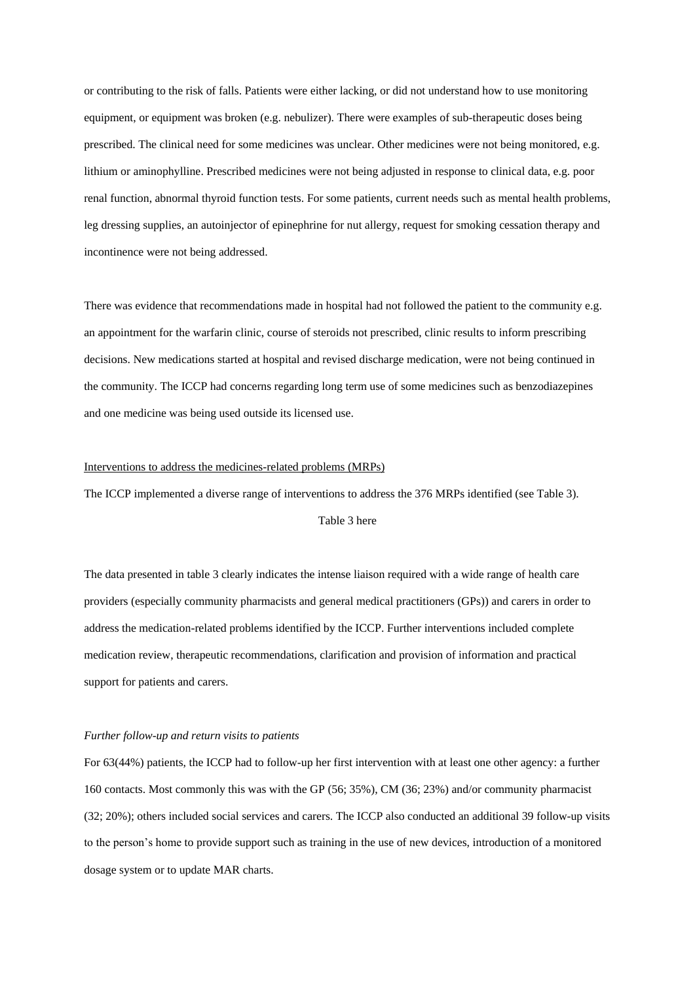or contributing to the risk of falls. Patients were either lacking, or did not understand how to use monitoring equipment, or equipment was broken (e.g. nebulizer). There were examples of sub-therapeutic doses being prescribed. The clinical need for some medicines was unclear. Other medicines were not being monitored, e.g. lithium or aminophylline. Prescribed medicines were not being adjusted in response to clinical data, e.g. poor renal function, abnormal thyroid function tests. For some patients, current needs such as mental health problems, leg dressing supplies, an autoinjector of epinephrine for nut allergy, request for smoking cessation therapy and incontinence were not being addressed.

There was evidence that recommendations made in hospital had not followed the patient to the community e.g. an appointment for the warfarin clinic, course of steroids not prescribed, clinic results to inform prescribing decisions. New medications started at hospital and revised discharge medication, were not being continued in the community. The ICCP had concerns regarding long term use of some medicines such as benzodiazepines and one medicine was being used outside its licensed use.

## Interventions to address the medicines-related problems (MRPs)

The ICCP implemented a diverse range of interventions to address the 376 MRPs identified (see Table 3).

# Table 3 here

The data presented in table 3 clearly indicates the intense liaison required with a wide range of health care providers (especially community pharmacists and general medical practitioners (GPs)) and carers in order to address the medication-related problems identified by the ICCP. Further interventions included complete medication review, therapeutic recommendations, clarification and provision of information and practical support for patients and carers.

#### *Further follow-up and return visits to patients*

For 63(44%) patients, the ICCP had to follow-up her first intervention with at least one other agency: a further 160 contacts. Most commonly this was with the GP (56; 35%), CM (36; 23%) and/or community pharmacist (32; 20%); others included social services and carers. The ICCP also conducted an additional 39 follow-up visits to the person's home to provide support such as training in the use of new devices, introduction of a monitored dosage system or to update MAR charts.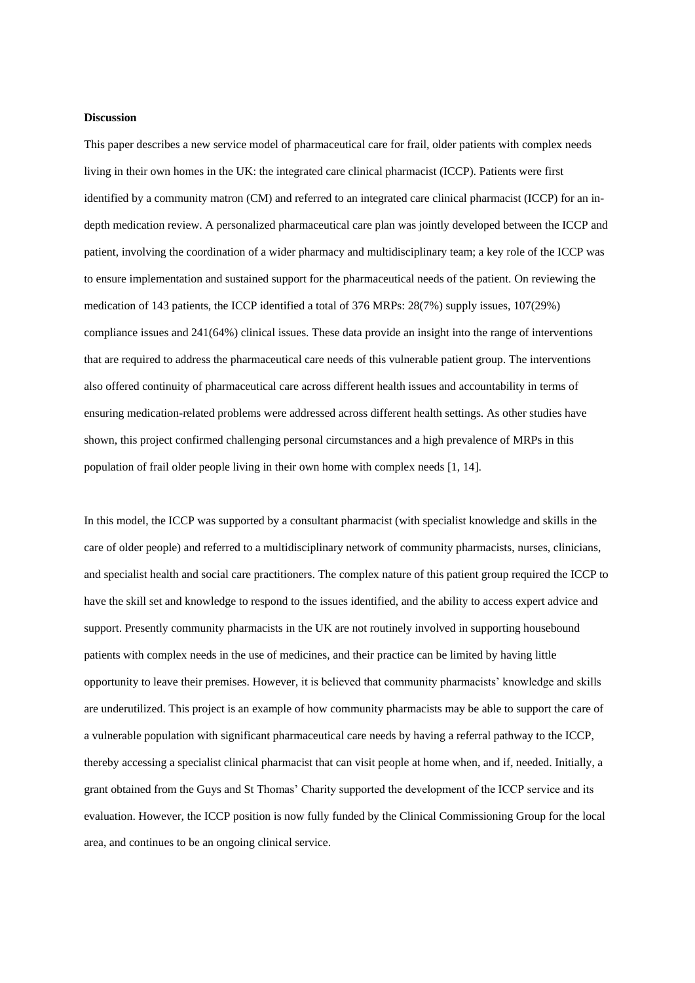#### **Discussion**

This paper describes a new service model of pharmaceutical care for frail, older patients with complex needs living in their own homes in the UK: the integrated care clinical pharmacist (ICCP). Patients were first identified by a community matron (CM) and referred to an integrated care clinical pharmacist (ICCP) for an indepth medication review. A personalized pharmaceutical care plan was jointly developed between the ICCP and patient, involving the coordination of a wider pharmacy and multidisciplinary team; a key role of the ICCP was to ensure implementation and sustained support for the pharmaceutical needs of the patient. On reviewing the medication of 143 patients, the ICCP identified a total of 376 MRPs: 28(7%) supply issues, 107(29%) compliance issues and 241(64%) clinical issues. These data provide an insight into the range of interventions that are required to address the pharmaceutical care needs of this vulnerable patient group. The interventions also offered continuity of pharmaceutical care across different health issues and accountability in terms of ensuring medication-related problems were addressed across different health settings. As other studies have shown, this project confirmed challenging personal circumstances and a high prevalence of MRPs in this population of frail older people living in their own home with complex needs [1, 14].

In this model, the ICCP was supported by a consultant pharmacist (with specialist knowledge and skills in the care of older people) and referred to a multidisciplinary network of community pharmacists, nurses, clinicians, and specialist health and social care practitioners. The complex nature of this patient group required the ICCP to have the skill set and knowledge to respond to the issues identified, and the ability to access expert advice and support. Presently community pharmacists in the UK are not routinely involved in supporting housebound patients with complex needs in the use of medicines, and their practice can be limited by having little opportunity to leave their premises. However, it is believed that community pharmacists' knowledge and skills are underutilized. This project is an example of how community pharmacists may be able to support the care of a vulnerable population with significant pharmaceutical care needs by having a referral pathway to the ICCP, thereby accessing a specialist clinical pharmacist that can visit people at home when, and if, needed. Initially, a grant obtained from the Guys and St Thomas' Charity supported the development of the ICCP service and its evaluation. However, the ICCP position is now fully funded by the Clinical Commissioning Group for the local area, and continues to be an ongoing clinical service.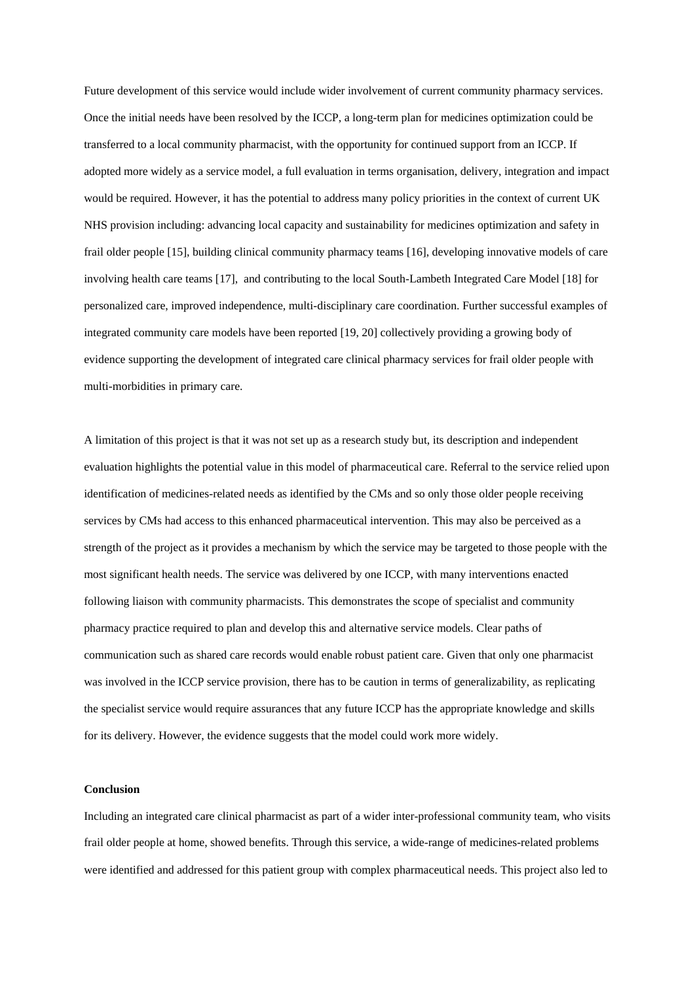Future development of this service would include wider involvement of current community pharmacy services. Once the initial needs have been resolved by the ICCP, a long-term plan for medicines optimization could be transferred to a local community pharmacist, with the opportunity for continued support from an ICCP. If adopted more widely as a service model, a full evaluation in terms organisation, delivery, integration and impact would be required. However, it has the potential to address many policy priorities in the context of current UK NHS provision including: advancing local capacity and sustainability for medicines optimization and safety in frail older people [15], building clinical community pharmacy teams [16], developing innovative models of care involving health care teams [17], and contributing to the local South-Lambeth Integrated Care Model [18] for personalized care, improved independence, multi-disciplinary care coordination. Further successful examples of integrated community care models have been reported [19, 20] collectively providing a growing body of evidence supporting the development of integrated care clinical pharmacy services for frail older people with multi-morbidities in primary care.

A limitation of this project is that it was not set up as a research study but, its description and independent evaluation highlights the potential value in this model of pharmaceutical care. Referral to the service relied upon identification of medicines-related needs as identified by the CMs and so only those older people receiving services by CMs had access to this enhanced pharmaceutical intervention. This may also be perceived as a strength of the project as it provides a mechanism by which the service may be targeted to those people with the most significant health needs. The service was delivered by one ICCP, with many interventions enacted following liaison with community pharmacists. This demonstrates the scope of specialist and community pharmacy practice required to plan and develop this and alternative service models. Clear paths of communication such as shared care records would enable robust patient care. Given that only one pharmacist was involved in the ICCP service provision, there has to be caution in terms of generalizability, as replicating the specialist service would require assurances that any future ICCP has the appropriate knowledge and skills for its delivery. However, the evidence suggests that the model could work more widely.

## **Conclusion**

Including an integrated care clinical pharmacist as part of a wider inter-professional community team, who visits frail older people at home, showed benefits. Through this service, a wide-range of medicines-related problems were identified and addressed for this patient group with complex pharmaceutical needs. This project also led to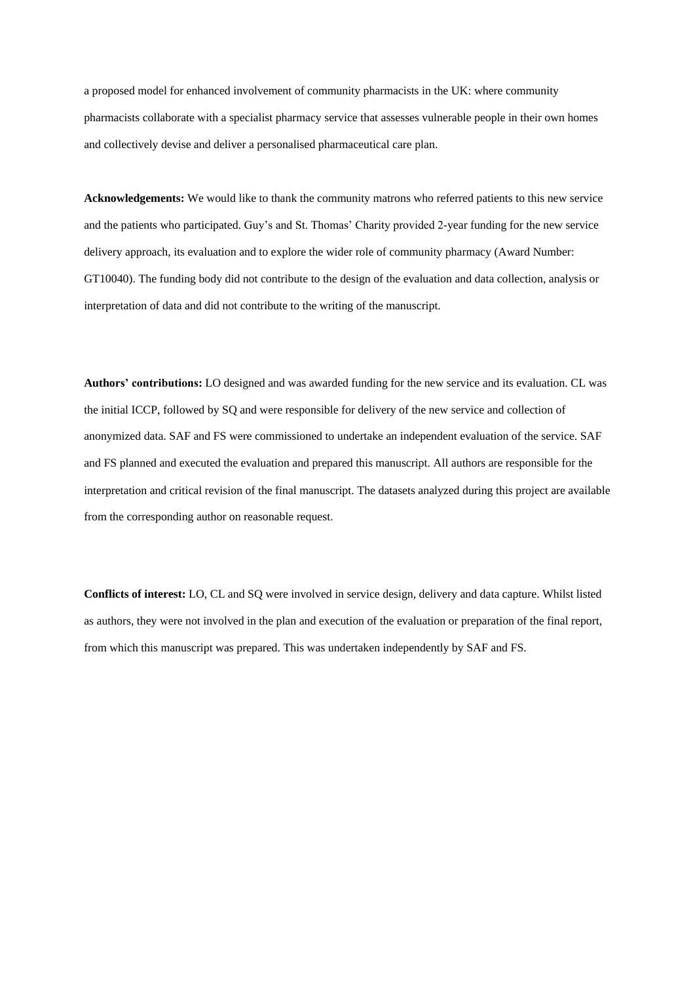a proposed model for enhanced involvement of community pharmacists in the UK: where community pharmacists collaborate with a specialist pharmacy service that assesses vulnerable people in their own homes and collectively devise and deliver a personalised pharmaceutical care plan.

**Acknowledgements:** We would like to thank the community matrons who referred patients to this new service and the patients who participated. Guy's and St. Thomas' Charity provided 2-year funding for the new service delivery approach, its evaluation and to explore the wider role of community pharmacy (Award Number: GT10040). The funding body did not contribute to the design of the evaluation and data collection, analysis or interpretation of data and did not contribute to the writing of the manuscript.

**Authors' contributions:** LO designed and was awarded funding for the new service and its evaluation. CL was the initial ICCP, followed by SQ and were responsible for delivery of the new service and collection of anonymized data. SAF and FS were commissioned to undertake an independent evaluation of the service. SAF and FS planned and executed the evaluation and prepared this manuscript. All authors are responsible for the interpretation and critical revision of the final manuscript. The datasets analyzed during this project are available from the corresponding author on reasonable request.

**Conflicts of interest:** LO, CL and SQ were involved in service design, delivery and data capture. Whilst listed as authors, they were not involved in the plan and execution of the evaluation or preparation of the final report, from which this manuscript was prepared. This was undertaken independently by SAF and FS.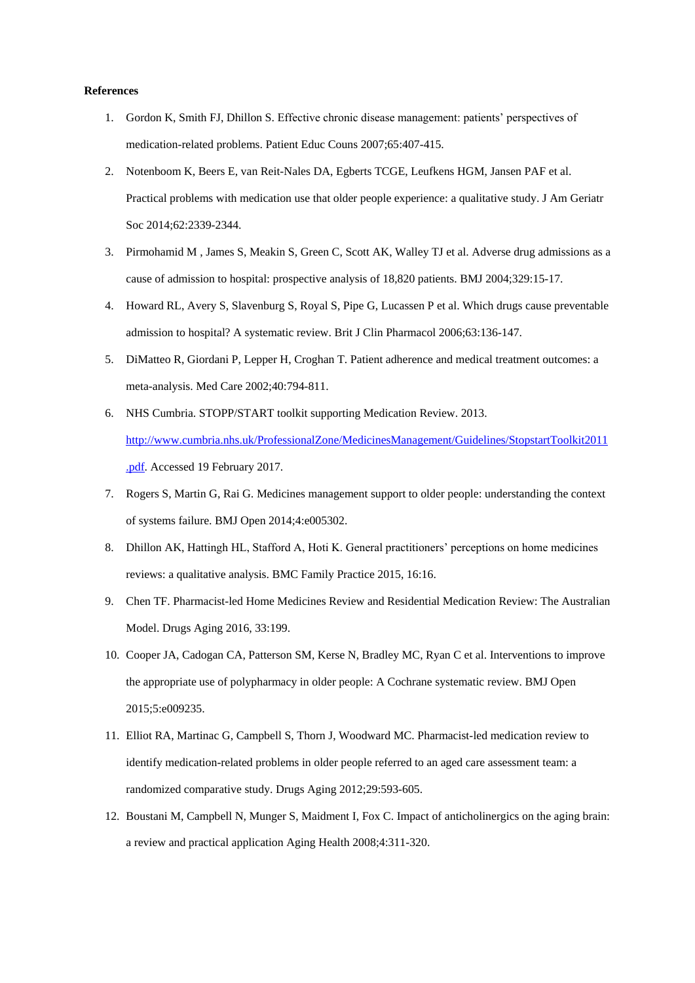## **References**

- 1. Gordon K, Smith FJ, Dhillon S. Effective chronic disease management: patients' perspectives of medication-related problems. Patient Educ Couns 2007;65:407-415.
- 2. Notenboom K, Beers E, van Reit-Nales DA, Egberts TCGE, Leufkens HGM, Jansen PAF et al. Practical problems with medication use that older people experience: a qualitative study. J Am Geriatr Soc 2014;62:2339-2344.
- 3. Pirmohamid M , [James S,](http://www.ncbi.nlm.nih.gov/pubmed/?term=James%20S%5BAuthor%5D&cauthor=true&cauthor_uid=15231615) [Meakin S,](http://www.ncbi.nlm.nih.gov/pubmed/?term=Meakin%20S%5BAuthor%5D&cauthor=true&cauthor_uid=15231615) [Green C,](http://www.ncbi.nlm.nih.gov/pubmed/?term=Green%20C%5BAuthor%5D&cauthor=true&cauthor_uid=15231615) [Scott AK,](http://www.ncbi.nlm.nih.gov/pubmed/?term=Scott%20AK%5BAuthor%5D&cauthor=true&cauthor_uid=15231615) [Walley TJ](http://www.ncbi.nlm.nih.gov/pubmed/?term=Walley%20TJ%5BAuthor%5D&cauthor=true&cauthor_uid=15231615) et al. Adverse drug admissions as a cause of admission to hospital: prospective analysis of 18,820 patients. BMJ 2004;329:15-17.
- 4. Howard RL, Avery S, Slavenburg S, Royal S, Pipe G, Lucassen P et al. Which drugs cause preventable admission to hospital? A systematic review. Brit J Clin Pharmacol 2006;63:136-147.
- 5. DiMatteo R, Giordani P, Lepper H, Croghan T. Patient adherence and medical treatment outcomes: a meta-analysis. Med Care 2002;40:794-811.
- 6. NHS Cumbria. STOPP/START toolkit supporting Medication Review. 2013. [http://www.cumbria.nhs.uk/ProfessionalZone/MedicinesManagement/Guidelines/StopstartToolkit2011](http://www.cumbria.nhs.uk/ProfessionalZone/MedicinesManagement/Guidelines/StopstartToolkit2011.pdf) [.pdf.](http://www.cumbria.nhs.uk/ProfessionalZone/MedicinesManagement/Guidelines/StopstartToolkit2011.pdf) Accessed 19 February 2017.
- 7. Rogers S, Martin G, Rai G. Medicines management support to older people: understanding the context of systems failure. BMJ Open 2014;4:e005302.
- 8. Dhillon AK, Hattingh HL, Stafford A, Hoti K. General practitioners' perceptions on home medicines reviews: a qualitative analysis. BMC Family Practice 2015, 16:16.
- 9. Chen TF. Pharmacist-led Home Medicines Review and Residential Medication Review: The Australian Model. Drugs Aging 2016, 33:199.
- 10. Cooper JA, Cadogan CA, Patterson SM, Kerse N, Bradley MC, Ryan C et al. Interventions to improve the appropriate use of polypharmacy in older people: A Cochrane systematic review. BMJ Open 2015;5:e009235.
- 11. Elliot RA, Martinac G, Campbell S, Thorn J, Woodward MC. Pharmacist-led medication review to identify medication-related problems in older people referred to an aged care assessment team: a randomized comparative study. Drugs Aging 2012;29:593-605.
- 12. Boustani M, Campbell N, Munger S, Maidment I, Fox C. Impact of anticholinergics on the aging brain: a review and practical application Aging Health 2008;4:311-320.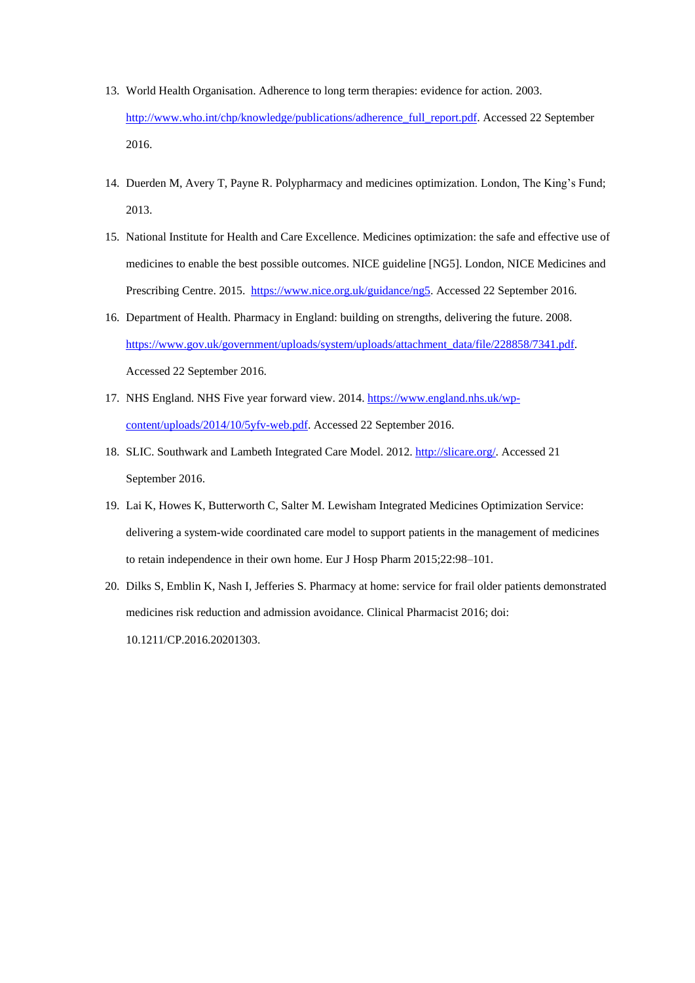- 13. World Health Organisation. Adherence to long term therapies: evidence for action. 2003. [http://www.who.int/chp/knowledge/publications/adherence\\_full\\_report.pdf.](http://www.who.int/chp/knowledge/publications/adherence_full_report.pdf) Accessed 22 September 2016.
- 14. Duerden M, Avery T, Payne R. Polypharmacy and medicines optimization. London, The King's Fund; 2013.
- 15. National Institute for Health and Care Excellence. Medicines optimization: the safe and effective use of medicines to enable the best possible outcomes. NICE guideline [NG5]. London, NICE Medicines and Prescribing Centre. 2015. [https://www.nice.org.uk/guidance/ng5.](https://www.nice.org.uk/guidance/ng5) Accessed 22 September 2016.
- 16. Department of Health. Pharmacy in England: building on strengths, delivering the future. 2008. [https://www.gov.uk/government/uploads/system/uploads/attachment\\_data/file/228858/7341.pdf.](https://www.gov.uk/government/uploads/system/uploads/attachment_data/file/228858/7341.pdf) Accessed 22 September 2016.
- 17. NHS England. NHS Five year forward view. 2014. [https://www.england.nhs.uk/wp](https://www.england.nhs.uk/wp-content/uploads/2014/10/5yfv-web.pdf)[content/uploads/2014/10/5yfv-web.pdf.](https://www.england.nhs.uk/wp-content/uploads/2014/10/5yfv-web.pdf) Accessed 22 September 2016.
- 18. SLIC. Southwark and Lambeth Integrated Care Model. 2012. [http://slicare.org/.](http://slicare.org/) Accessed 21 September 2016.
- 19. Lai K, Howes K, Butterworth C, Salter M. Lewisham Integrated Medicines Optimization Service: delivering a system-wide coordinated care model to support patients in the management of medicines to retain independence in their own home. Eur J Hosp Pharm 2015;22:98–101.
- 20. Dilks S, Emblin K, Nash I, Jefferies S. Pharmacy at home: service for frail older patients demonstrated medicines risk reduction and admission avoidance. Clinical Pharmacist 2016; doi: 10.1211/CP.2016.20201303.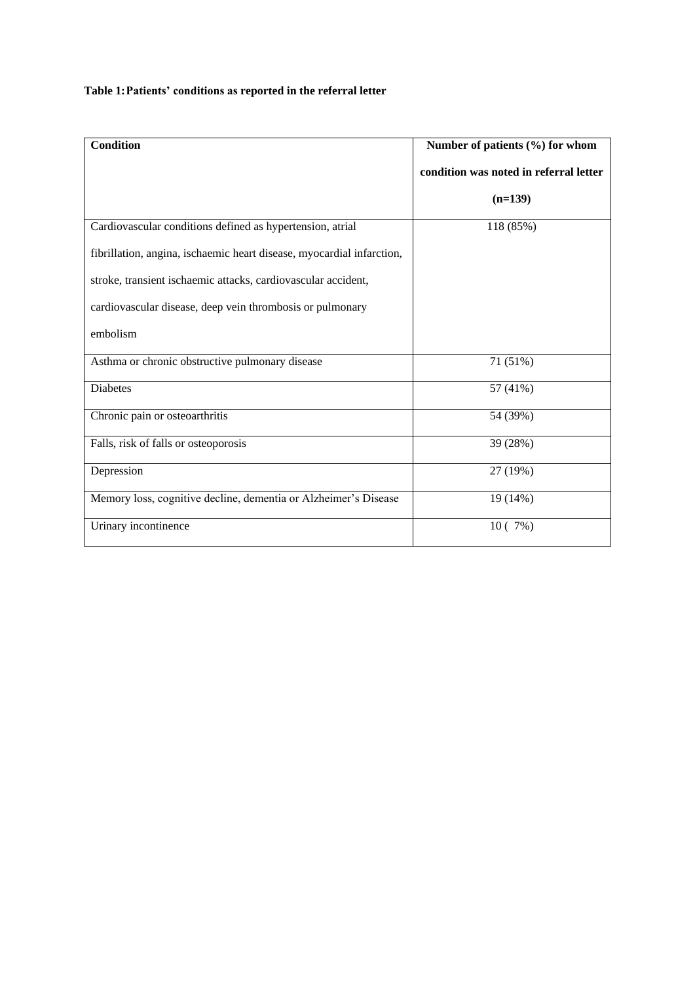# **Table 1:Patients' conditions as reported in the referral letter**

| <b>Condition</b>                                                      | Number of patients (%) for whom        |  |
|-----------------------------------------------------------------------|----------------------------------------|--|
|                                                                       | condition was noted in referral letter |  |
|                                                                       | $(n=139)$                              |  |
| Cardiovascular conditions defined as hypertension, atrial             | 118 (85%)                              |  |
| fibrillation, angina, ischaemic heart disease, myocardial infarction, |                                        |  |
| stroke, transient ischaemic attacks, cardiovascular accident,         |                                        |  |
| cardiovascular disease, deep vein thrombosis or pulmonary             |                                        |  |
| embolism                                                              |                                        |  |
| Asthma or chronic obstructive pulmonary disease                       | 71 (51%)                               |  |
| <b>Diabetes</b>                                                       | 57 (41%)                               |  |
| Chronic pain or osteoarthritis                                        | 54 (39%)                               |  |
| Falls, risk of falls or osteoporosis                                  | 39 (28%)                               |  |
| Depression                                                            | 27 (19%)                               |  |
| Memory loss, cognitive decline, dementia or Alzheimer's Disease       | 19 (14%)                               |  |
| Urinary incontinence                                                  | 10(7%)                                 |  |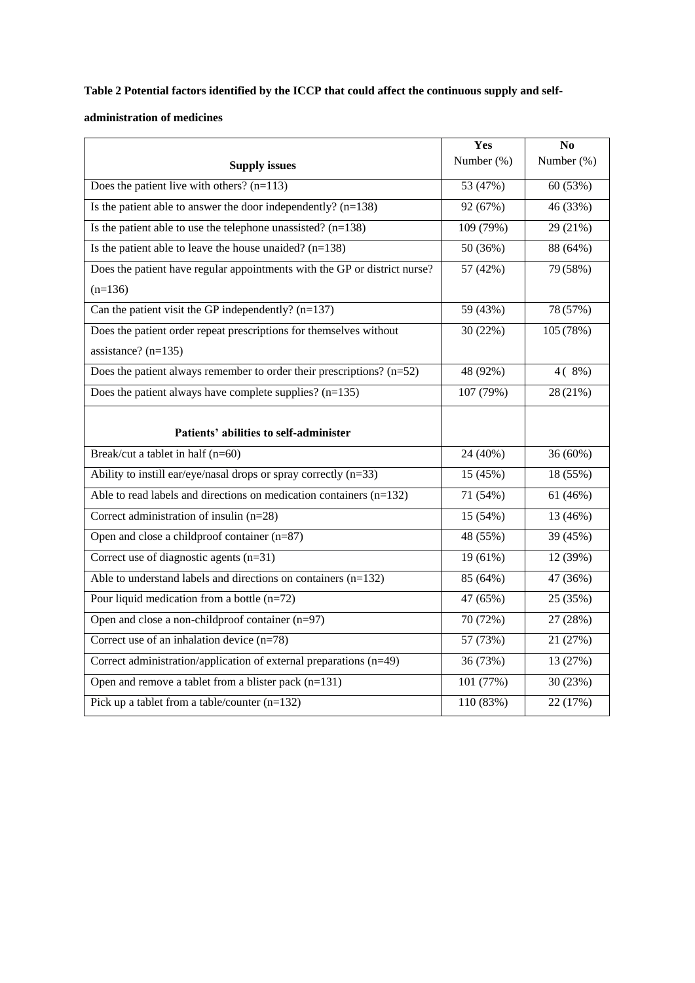# **Table 2 Potential factors identified by the ICCP that could affect the continuous supply and self-**

# **administration of medicines**

|                                                                           | Yes        | N <sub>o</sub> |
|---------------------------------------------------------------------------|------------|----------------|
| <b>Supply issues</b>                                                      | Number (%) | Number (%)     |
| Does the patient live with others? $(n=113)$                              | 53 (47%)   | 60 (53%)       |
| Is the patient able to answer the door independently? $(n=138)$           | 92 (67%)   | 46 (33%)       |
| Is the patient able to use the telephone unassisted? $(n=138)$            | 109 (79%)  | 29 (21%)       |
| Is the patient able to leave the house unaided? $(n=138)$                 | 50 (36%)   | 88 (64%)       |
| Does the patient have regular appointments with the GP or district nurse? | 57 (42%)   | 79 (58%)       |
| $(n=136)$                                                                 |            |                |
| Can the patient visit the GP independently? $(n=137)$                     | 59 (43%)   | 78 (57%)       |
| Does the patient order repeat prescriptions for themselves without        | 30 (22%)   | 105 (78%)      |
| assistance? $(n=135)$                                                     |            |                |
| Does the patient always remember to order their prescriptions? $(n=52)$   | 48 (92%)   | $4(8\%)$       |
| Does the patient always have complete supplies? $(n=135)$                 | 107 (79%)  | 28 (21%)       |
|                                                                           |            |                |
| Patients' abilities to self-administer                                    |            |                |
| Break/cut a tablet in half (n=60)                                         | 24 (40%)   | 36 (60%)       |
| Ability to instill ear/eye/nasal drops or spray correctly $(n=33)$        | 15 (45%)   | 18 (55%)       |
| Able to read labels and directions on medication containers $(n=132)$     | 71 (54%)   | 61(46%)        |
| Correct administration of insulin (n=28)                                  | 15 (54%)   | 13 (46%)       |
| Open and close a childproof container $(n=87)$                            | 48 (55%)   | 39 (45%)       |
| Correct use of diagnostic agents (n=31)                                   | 19 (61%)   | 12 (39%)       |
| Able to understand labels and directions on containers $(n=132)$          | 85 (64%)   | 47 (36%)       |
| Pour liquid medication from a bottle $(n=72)$                             | 47 (65%)   | 25 (35%)       |
| Open and close a non-childproof container (n=97)                          | 70 (72%)   | 27 (28%)       |
| Correct use of an inhalation device $(n=78)$                              | 57 (73%)   | 21 (27%)       |
| Correct administration/application of external preparations (n=49)        | 36 (73%)   | 13 (27%)       |
| Open and remove a tablet from a blister pack (n=131)                      | 101 (77%)  | 30 (23%)       |
| Pick up a tablet from a table/counter $(n=132)$                           | 110 (83%)  | 22 (17%)       |